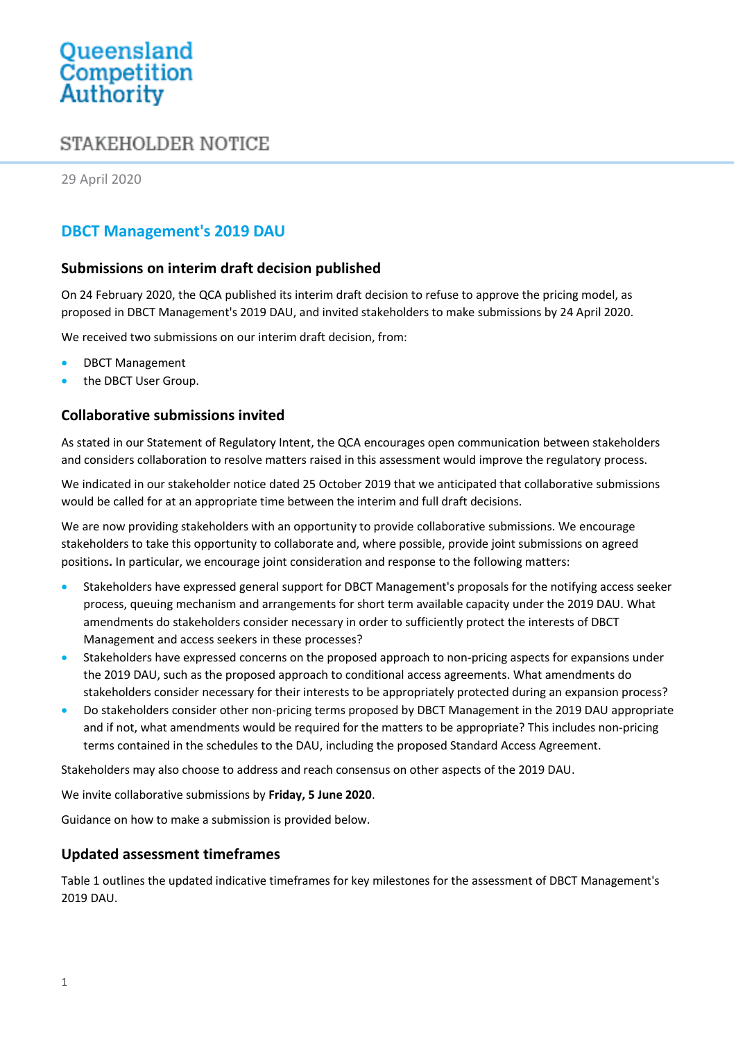# Queensland<br>Competition Authority

## STAKEHOLDER NOTICE

29 April 2020

## **DBCT Management's 2019 DAU**

### **Submissions on interim draft decision published**

On 24 February 2020, the QCA published its interim draft decision to refuse to approve the pricing model, as proposed in DBCT Management's 2019 DAU, and invited stakeholders to make submissions by 24 April 2020.

We received two submissions on our interim draft decision, from:

- DBCT Management
- the DBCT User Group.

### **Collaborative submissions invited**

As stated in our Statement of Regulatory Intent, the QCA encourages open communication between stakeholders and considers collaboration to resolve matters raised in this assessment would improve the regulatory process.

We indicated in our stakeholder notice dated 25 October 2019 that we anticipated that collaborative submissions would be called for at an appropriate time between the interim and full draft decisions.

We are now providing stakeholders with an opportunity to provide collaborative submissions. We encourage stakeholders to take this opportunity to collaborate and, where possible, provide joint submissions on agreed positions**.** In particular, we encourage joint consideration and response to the following matters:

- Stakeholders have expressed general support for DBCT Management's proposals for the notifying access seeker process, queuing mechanism and arrangements for short term available capacity under the 2019 DAU. What amendments do stakeholders consider necessary in order to sufficiently protect the interests of DBCT Management and access seekers in these processes?
- Stakeholders have expressed concerns on the proposed approach to non-pricing aspects for expansions under the 2019 DAU, such as the proposed approach to conditional access agreements. What amendments do stakeholders consider necessary for their interests to be appropriately protected during an expansion process?
- Do stakeholders consider other non-pricing terms proposed by DBCT Management in the 2019 DAU appropriate and if not, what amendments would be required for the matters to be appropriate? This includes non-pricing terms contained in the schedules to the DAU, including the proposed Standard Access Agreement.

Stakeholders may also choose to address and reach consensus on other aspects of the 2019 DAU.

We invite collaborative submissions by **Friday, 5 June 2020**.

Guidance on how to make a submission is provided below.

### **Updated assessment timeframes**

Table 1 outlines the updated indicative timeframes for key milestones for the assessment of DBCT Management's 2019 DAU.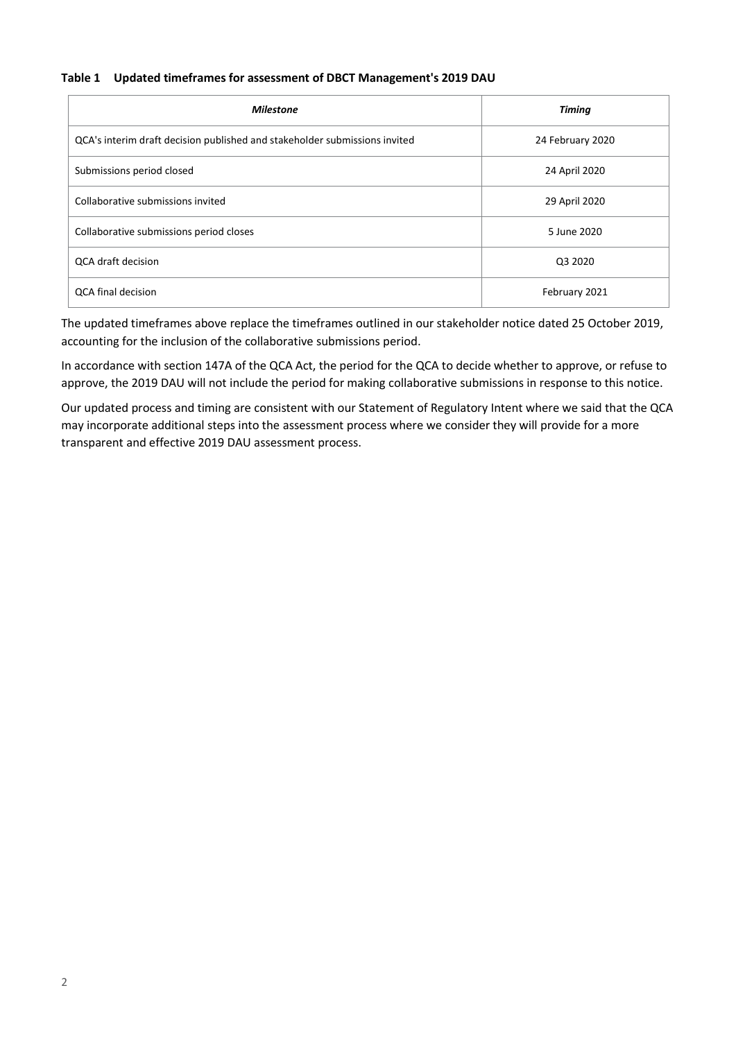#### **Table 1 Updated timeframes for assessment of DBCT Management's 2019 DAU**

| <b>Milestone</b>                                                           | <b>Timing</b>    |
|----------------------------------------------------------------------------|------------------|
| QCA's interim draft decision published and stakeholder submissions invited | 24 February 2020 |
| Submissions period closed                                                  | 24 April 2020    |
| Collaborative submissions invited                                          | 29 April 2020    |
| Collaborative submissions period closes                                    | 5 June 2020      |
| <b>QCA draft decision</b>                                                  | Q3 2020          |
| <b>QCA final decision</b>                                                  | February 2021    |

The updated timeframes above replace the timeframes outlined in our stakeholder notice dated 25 October 2019, accounting for the inclusion of the collaborative submissions period.

In accordance with section 147A of the QCA Act, the period for the QCA to decide whether to approve, or refuse to approve, the 2019 DAU will not include the period for making collaborative submissions in response to this notice.

Our updated process and timing are consistent with our Statement of Regulatory Intent where we said that the QCA may incorporate additional steps into the assessment process where we consider they will provide for a more transparent and effective 2019 DAU assessment process.